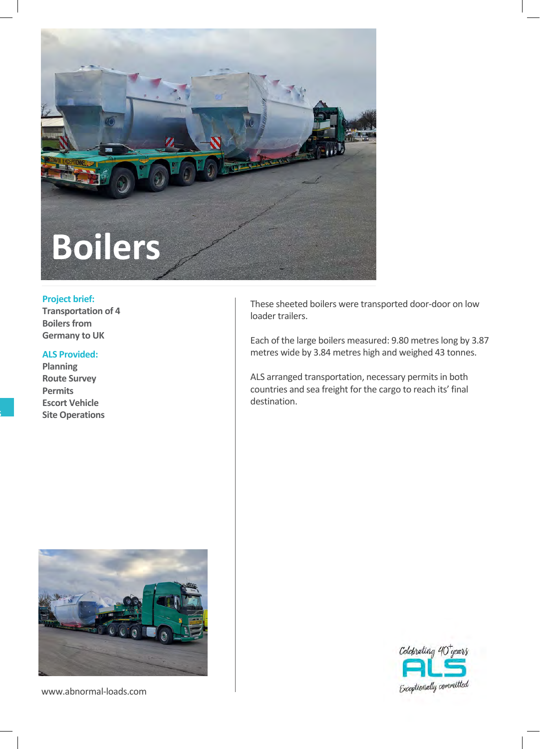

## **Project brief:**

**Transportation of 4 Boilers from Germany to UK**

## **ALS Provided:**

**Planning Route Survey Permits Escort Vehicle Site Operations**



www.abnormal-loads.com

These sheeted boilers were transported door-door on low loader trailers.

Each of the large boilers measured: 9.80 metres long by 3.87 metres wide by 3.84 metres high and weighed 43 tonnes.

ALS arranged transportation, necessary permits in both countries and sea freight for the cargo to reach its' final destination.